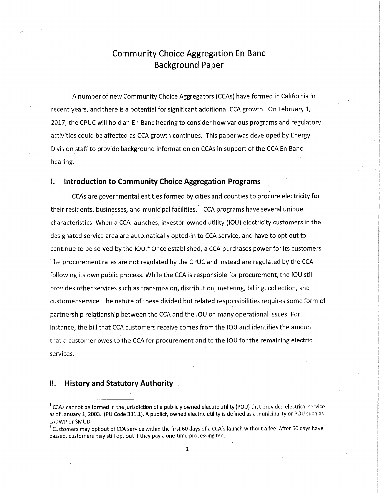## Community Choice Aggregation En Banc Background Paper

A number of new Community Choice Aggregators (CCAs) have formed in California in recent years, and there is a potential for significant additional CCA growth. On February 1, 2017, the CPUC will hold an En Banc hearing to consider how various programs and regulatory activities could be affected as CCA growth continues. This paper was developed by Energy Division staff to provide background information on CCAs in support of the CCA En Banc hearing.

## **I. Introduction to Community Choice Aggregation Programs**

CCAs are governmental entities formed by cities and counties to procure electricity for their residents, businesses, and municipal facilities.<sup>1</sup> CCA programs have several unique characteristics. When a CCA launches, investor-owned utility (IOU) electricity customers in the designated service area are automatically opted-in to CCA service, and have to opt out to continue to be served by the IOU.<sup>2</sup> Once established, a CCA purchases power for its customers. The procurement rates are not regulated by the CPUC and instead are regulated by the CCA following its own public process. While the CCA is responsible for procurement, the IOU still provides other services such as transmission, distribution, metering, billing, collection, and customer service. The nature of these divided but related responsibilities requires some form of partnership relationship between the CCA and the IOU on many operational issues. For instance, the bill that CCA customers receive comes from the IOU and identifies the amount that a customer owes to the CCA for procurement and to the IOU for the remaining electric services.

### **II. History and Statutory Authority**

 $^1$  CCAs cannot be formed in the jurisdiction of a publicly owned electric utility (POU) that provided electrical service as of January 1, 2003. (PU Code 331.1). A publicly owned electric utility is defined as a municipality or POU such as LADWP or SMUD.

<sup>&</sup>lt;sup>2</sup> Customers may opt out of CCA service within the first 60 days of a CCA's launch without a fee. After 60 days have passed, customers may still opt out if they pay a one-time processing fee.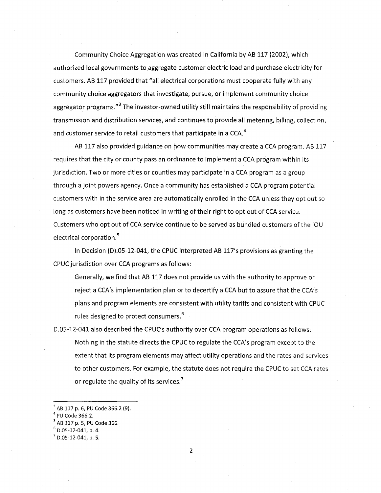Community Choice Aggregation was created in California by AB 117 (2002), which authorized local governments to aggregate customer electric load and purchase electricity for customers. AB 117 provided that "all electrical corporations must cooperate fully with any community choice aggregators that investigate, pursue, or implement community choice aggregator programs."<sup>3</sup> The investor-owned utility still maintains the responsibility of providing transmission and distribution services, and continues to provide all metering, billing, collection, and customer service to retail customers that participate in a CCA.<sup>4</sup>

AB 117 also provided guidance on how communities may create a CCA program. AB 117 requires that the city or county pass an ordinance to implement a CCA program within its jurisdiction. Two or more cities or counties may participate in a CCA program as a group through a joint powers agency. Once a community has established a CCA program potential customers with in the service area are automatically enrolled in the CCA unless they opt out so long as customers have been noticed in writing of their right to opt out of CCA service. Customers who opt out of CCA service continue to be served as bundled customers of the IOU electrical corporation.<sup>5</sup>

In Decision (D).05-12-041, the CPUC interpreted AB 117's provisions as granting the CPUC jurisdiction over CCA programs as follows:

Generally, we find that AB 117 does not provide us with the authority to approve or reject a CCA's implementation plan or to decertify a CCA but to assure that the CCA's plans and program elements are consistent with utility tariffs and consistent with CPUC rules designed to protect consumers.<sup>6</sup>

D.05-12-041 also described the CPUC's authority over CCA program operations as follows: Nothing in the statute directs the CPUC to regulate the CCA's program except to the extent that its program elements may affect utility operations and the rates and services to other customers. For example, the statute does not require the CPUC to set CCA rates or regulate the quality of its services.<sup>7</sup>

 $^3$  AB 117 p. 6, PU Code 366.2 (9).

 $^4$  PU Code 366.2.

<sup>5</sup>AB 117 p. 5, PU Code 366.

<sup>6</sup>D.05-12-041, p. 4.

 $^7$  D.05-12-041, p. 5.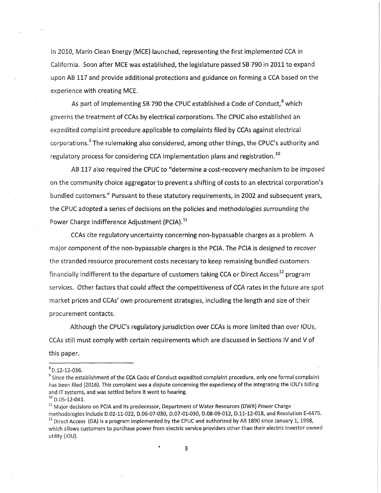In 2010, Marin Clean Energy (MCE) launched, representing the first implemented CCA in California. Soon after MCE was established, the legislature passed SB 790 in 2011 to expand upon AB 117 and provide additional protections and guidance on forming a CCA based on the experience with creating MCE.

As part of implementing SB 790 the CPUC established a Code of Conduct, $8$  which governs the treatment of CCAs by electrical corporations. The CPUC also established an expedited complaint procedure applicable to complaints filed by CCAs against electrical corporations.<sup>9</sup> The rulemaking also considered, among other things, the CPUC's authority and regulatory process for considering CCA implementation plans and registration.<sup>10</sup>

AB 117 also required the CPUC to "determine a cost-recovery mechanism to be imposed on the community choice aggregator to prevent a shifting of costs to an electrical corporation's bundled customers." Pursuant to these statutory requirements, in 2002 and subsequent years, the CPUC adopted a series of decisions on the policies and methodologies surrounding the Power Charge Indifference Adjustment (PCIA).<sup>11</sup>

CCAs cite regulatory uncertainty concerning non-bypassable charges as a problem. A major component of the non-bypassable charges is the PCIA. The PCIA is designed to recover the stranded resource procurement costs necessary to keep remaining bundled customers financially indifferent to the departure of customers taking CCA or Direct Access<sup>12</sup> program services. Other factors that could affect the competitiveness of CCA rates in the future are spot market prices and CCAs' own procurement strategies, including the length and size of their procurement contacts.

Although the CPUC's regulatory jurisdiction over CCAs is more limited than over lOUs, CCAs still must comply with certain requirements which are discussed in Sections IV and V of this paper.

 $8$ D.12-12-036.

<sup>&</sup>lt;sup>9</sup> Since the establishment of the CCA Code of Conduct expedited complaint procedure, only one formal complaint has been filed (2016). This complaint was a dispute concerning the expediency of the integrating the lOU's billing and IT systems, and was settled before it went to hearing.

 $10$  D.05-12-041.

 $11$  Major decisions on PCIA and its predecessor, Department of Water Resources (DWR) Power Charge methodologies include D.02-11-022, D.06-07-030, D.07-01-030, D.08-09-012, D.ll-12-018, and Resolution E-4475.  $12$  Direct Access (DA) is a program implemented by the CPUC and authorized by AB 1890 since January 1, 1998, which allows customers to purchase power from electric service providers other than their electric investor owned utility (IOU).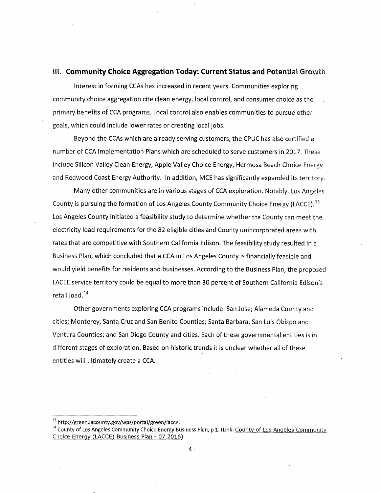## **III. Community Choice Aggregation Today: Current Status and Potential Growth**

Interest in forming CCAs has increased in recent years. Communities exploring community choice aggregation cite clean energy, local control, and consumer choice as the . primary benefits of CCA programs. Local control also enables communities to pursue other goals, which could include lower rates or creating local jobs.

Beyond the CCAs which are already serving customers, the CPUC has also certified a number of CCA Implementation Plans which are scheduled to serve customers in 2017. These include Silicon Valley Clean Energy, Apple Valley Choice Energy, Hermosa Beach Choice Energy and Redwood Coast Energy Authority. In addition, MCE has significantly expanded its territory.

Many other communities are in various stages of CCA exploration. Notably, Los Angeles County is pursuing the formation of Los Angeles County Community Choice Energy (LACCE).<sup>13</sup> Los Angeles County initiated a feasibility study to determine whether the County can meet the electricity load requirements for the 82 eligible cities and County unincorporated areas with rates that are competitive with Southern California Edison. The feasibility study resulted in a Business Plan, which concluded that a CCA in Los Angeles County is financially feasible and would yield benefits for residents and businesses. According to the Business Plan, the proposed LACEE service territory could be equal to more than 30 percent of Southern California Edison's retail load.<sup>14</sup>

Other governments exploring CCA programs include: San Jose; Alameda County and cities; Monterey, Santa Cruz and San Benito Counties; Santa Barbara, San Luis Obispo and Ventura Counties; and San Diego County and cities. Each of these governmental entities is in different stages of exploration. Based on historic trends it is unclear whether all of these entities will ultimately create a CCA.

<sup>&</sup>lt;sup>13</sup> http://green.lacounty.gov/wps/portal/green/lacce.

<sup>&</sup>lt;sup>14</sup> County of Los Angeles Community Choice Energy Business Plan, p 1. (Link: County of Los Angeles Community Choice Energy (LACCE) Business Plan - 07.2016)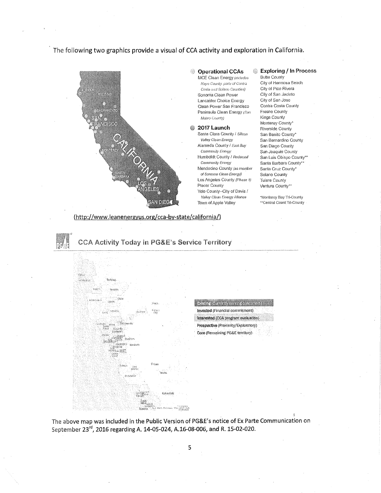The following two graphics provide a visual of CCA activity and exploration in California.



#### **Operational CCAs**  MCE Clean Energy *includes Hoy: County, pod.:; of Contra*  COStl.3 : ; : *Solan*0 *Counties)*  Sonoma Clean Power Lancaster Choice Energy Clean Power San Francisco Peninsula Clean Energy (San

#### *fvkih0 County)*  **2017 Launch**  6

Santa Clara County / *silicon Valley Chan Energy*  Alameda County / *Cam Bay Community Energy*  Humboldt County / *Redwood Community Energy*  Mendocino County fas *member of Sonoma Clean Energy)*  Los Angeles County *(Phase 1)*  Placer County Yolo County-City of Davis / *Valley Clean Bmgy Alliance*  Town of Apple Valley

## **Exploring / In Process**

Butte County City of Herrnosa Beach City of Pico Rivera City of San Jacinto City of San Jose Contra Costa County Fresno County Kings County Monterey County\* Riverside County San Benito County\* San Bernardino County San Diego County San Joaquin County San Luís Obispo County\*\* Santa Barbara County<sup>\*\*</sup> Santa Cruz County\* Solano County Tuiare County Ventura County\*\*

"Monterey Bay Tri-County "Central Coast Tri-Counly

#### ([http://www.leanenergyus.org/cca-bv-state/california/\)](http://www.leanenergyus.org/cca-bv-state/california/)



**Exsting (contailly serving distoncial Invested** (Financial commitment! **Interested (CCA program evaluation! Prospective (Proximity/Exploratory) Core (Remaining** PG**&E territory)** 

The above map was included in the Public Version of PG&E's notice of Ex Parte Communication on September 23<sup>rd</sup>, 2016 regarding A. 14-05-024, A.16-08-006, and R. 15-02-020.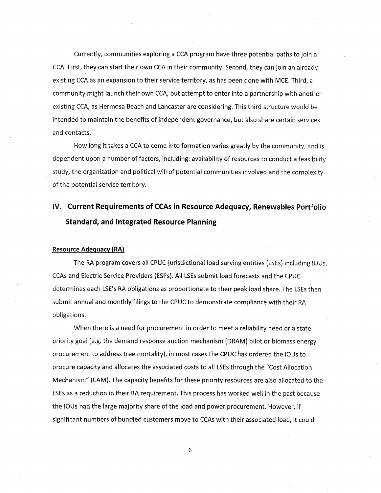Currently, communities exploring a CCA program have three potential paths to join a CCA. First, they can start their own CCA in their community. Second, they can join an already existing CCA as an expansion to their service territory, as has been done with MCE. Third, a community might launch their own CCA, but attempt to enter into a partnership with another existing CCA, as Hermosa Beach and Lancaster are considering. This third structure would be intended to maintain the benefits of independent governance, but also share certain services and contacts.

How long it takes a CCA to come into formation varies greatly by the community, and is dependent upon a number of factors, including: availability of resources to conduct a feasibility study, the organization and political will of potential communities involved and the complexity of the potential service territory.

# **IV. Current Requirements of CCAs in Resource Adequacy, Renewables** Portfolio **Standard, and Integrated Resource Planning**

#### **Resource Adequacy (RA)**

The RA program covers all CPUC-jurisdictional load serving entities (LSEs) including lOUs, CCAs and Electric Service Providers (ESPs). All LSEs submit load forecasts and the CPUC determines each LSE's RA obligations as proportionate to their peak load share. The LSEs then submit annual and monthly filings to the CPUC to demonstrate compliance with their RA obligations.

When there is a need for procurement in order to meet a reliability need or a state priority goal (e.g. the demand response auction mechanism (DRAM) pilot or biomass energy procurement to address tree mortality), in most cases the CPUC has ordered the lOUs to procure capacity and allocates the associated costs to all LSEs through the "Cost Allocation Mechanism" (CAM). The capacity benefits for these priority resources are also allocated to the LSEs as a reduction in their RA requirement. This process has worked well in the past because the lOUs had the large majority share of the load and power procurement. However, if significant numbers of bundled customers move to CCAs with their associated load, it could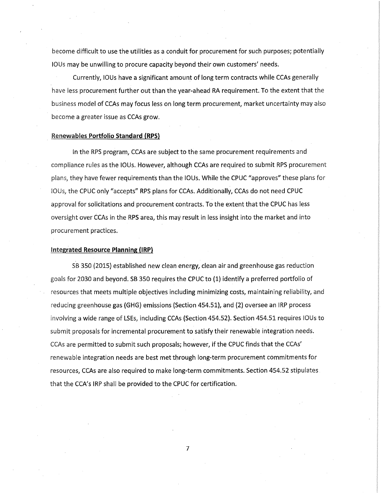become difficult to use the utilities as a conduit for procurement for such purposes; potentially lOUs may be unwilling to procure capacity beyond their own customers' needs.

Currently, lOUs have a significant amount of long term contracts while CCAs generally have less procurement further out than the year-ahead RA requirement. To the extent that the business model of CCAs may focus less on long term procurement, market uncertainty may also become a greater issue as CCAs grow.

#### Renewables **Portfolio Standard (RPS)**

In the RPS program, CCAs are subject to the same procurement requirements and compliance rules as the 10Us. However, although CCAs are required to submit RPS procurement plans, they have fewer requirements than the lOUs. While the CPUC "approves" these plans for lOUs, the CPUC only "accepts" RPS plans for CCAs. Additionally, CCAs do not need CPUC approval for solicitations and procurement contracts. To the extent that the CPUC has less oversight over CCAs in the RPS area, this may result in less insight into the market and into procurement practices.

### **Integrated Resource Planning (IRP)**

SB 350 (2015) established new clean energy, clean air and greenhouse gas reduction goals for 2030 and beyond. SB 350 requires the CPUC to (1) identify a preferred portfolio of resources that meets multiple objectives including minimizing costs, maintaining reliability, and reducing greenhouse gas (GHG) emissions (Section 454.51), and (2) oversee an IRP process involving a wide range of LSEs, including CCAs (Section 454.52). Section 454.51 requires lOUs to submit proposals for incremental procurement to satisfy their renewable integration needs. CCAs are permitted to submit such proposals; however, if the CPUC finds that the CCAs' renewable integration needs are best met through long-term procurement commitments for resources, CCAs are also required to make long-term commitments. Section 454.52 stipulates that the CCA's IRP shall be provided to the CPUC for certification.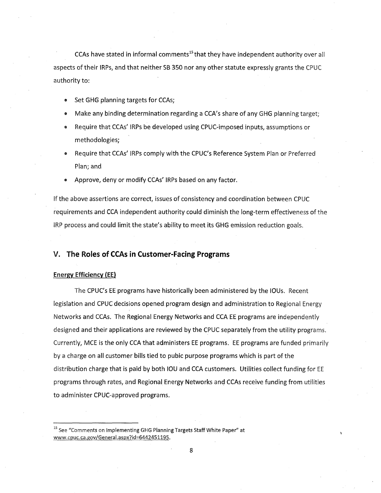CCAs have stated in informal comments<sup>15</sup> that they have independent authority over all aspects of their IRPs, and that neither SB 350 nor any other statute expressly grants the CPUC authority to:

- Set GHG planning targets for CCAs;
- Make any binding determination regarding a CCA's share of any GHG planning target;
- Require that CCAs' IRPs be developed using CPUC-imposed inputs, assumptions or methodologies;
- Require that CCAs' IRPs comply with the CPUC's Reference System Plan or Preferred Plan; and
- Approve, deny or modify CCAs' IRPs based on any factor.

If the above assertions are correct, issues of consistency and coordination between CPUC requirements and CCA independent authority could diminish the long-term effectiveness of the IRP process and could limit the state's ability to meet its GHG emission reduction goals.

## **V. The Roles of CCAs in Customer-Facing Programs**

### Energy Efficiency (EE)

The CPUC's EE programs have historically been administered by the lOUs. Recent legislation and CPUC decisions opened program design and administration to Regional Energy Networks and CCAs. The Regional Energy Networks and CCA EE programs are independently designed and their applications are reviewed by the CPUC separately from the utility programs. Currently, MCE is the only CCA that administers EE programs. EE programs are funded primarily by a charge on all customer bills tied to pubic purpose programs which is part of the distribution charge that is paid by both IOU and CCA customers. Utilities collect funding for EE programs through rates, and Regional Energy Networks and CCAs receive funding from utilities to administer CPUC-approved programs.

<sup>&</sup>lt;sup>15</sup> See "Comments on Implementing GHG Planning Targets Staff White Paper" at [www.cpuc.ca.gov/General.](http://www.cpuc.ca.gov/General) [a](http://www.cpuc.ca.gov/General)spx?id=6442451195.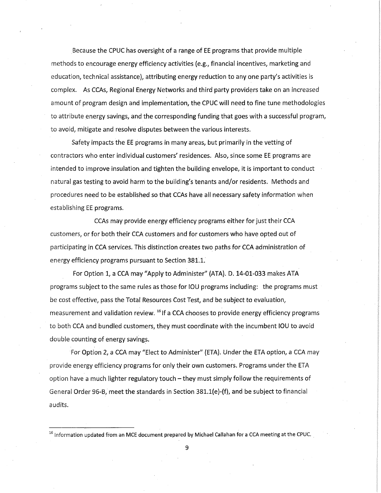Because the CPUC has oversight of a range of EE programs that provide multiple methods to encourage energy efficiency activities (e.g., financial incentives, marketing and education, technical assistance), attributing energy reduction to any one party's activities is complex. As CCAs, Regional Energy Networks and third party providers take on an increased amount of program design and implementation, the CPUC will need to fine tune methodologies to attribute energy savings, and the corresponding funding that goes with a successful program, to avoid, mitigate and resolve disputes between the various interests.

Safety impacts the EE programs in many areas, but primarily in the vetting of contractors who enter individual customers' residences. Also, since some EE programs are intended to improve insulation and tighten the building envelope, it is important to conduct natural gas testing to avoid harm to the building's tenants and/or residents. Methods and procedures need to be established so that CCAs have all necessary safety information when establishing EE programs.

CCAs may provide energy efficiency programs either for just their CCA customers, or for both their CCA customers and for customers who have opted out of participating in CCA services. This distinction creates two paths for CCA administration of energy efficiency programs pursuant to Section 381.1.

For Option 1, a CCA may "Apply to Administer" (ATA). D. 14-01-033 makes ATA programs subject to the same rules as those for IOU programs including: the programs must be cost effective, pass the Total Resources Cost Test, and be subject to evaluation, measurement and validation review.<sup>16</sup> If a CCA chooses to provide energy efficiency programs to both CCA and bundled customers, they must coordinate with the incumbent IOU to avoid double counting of energy savings.

For Option 2, a CCA may "Elect to Administer" (ETA). Under the ETA option, a CCA may provide energy efficiency programs for only their own customers. Programs under the ETA option have a much lighter regulatory touch – they must simply follow the requirements of General Order 96-B, meet the standards in Section 381.1(e)-(f), and be subject to financial audits.

 $<sup>16</sup>$  Information updated from an MCE document prepared by Michael Callahan for a CCA meeting at the CPUC.</sup>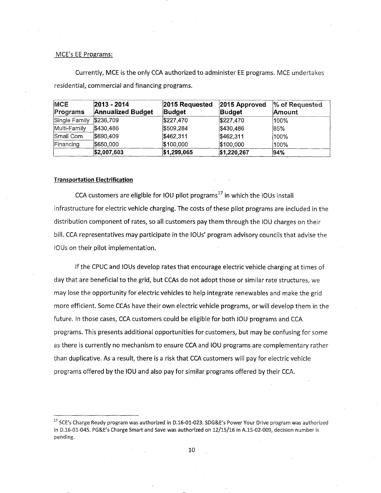#### MCE's EE Programs:

Currently, MCE is the only CCA authorized to administer EE programs. MCE undertakes residential, commercial and financing programs.

| <b>MCE</b><br>Programs | 2013 - 2014<br><b>Annualized Budget</b> | 2015 Requested<br><b>Budget</b> | 2015 Approved<br><b>Budget</b> | % of Requested<br>Amount |
|------------------------|-----------------------------------------|---------------------------------|--------------------------------|--------------------------|
| Single Family          | \$236,709                               | \$227,470                       | \$227,470                      | 100%                     |
| Multi-Family           | \$430,486                               | \$509,284                       | \$430,486                      | 85%                      |
| Small Com              | \$690,409                               | \$462,311                       | \$462,311                      | 100%                     |
| Financing              | \$650,000                               | \$100,000                       | \$100,000                      | 100%                     |
|                        | \$2,007,603                             | \$1,299,065                     | \$1,220,267                    | 94%                      |

#### **Transportation Electrification**

CCA customers are eligible for IOU pilot programs<sup>17</sup> in which the IOUs install infrastructure for electric vehicle charging. The costs of these pilot programs are included in the distribution component of rates, so all customers pay them through the IOU charges on their bill. CCA representatives may participate in the lOUs' program advisory councils that advise the lOUs on their pilot implementation.

If the CPUC and lOUs develop rates that encourage electric vehicle charging at times of day that are beneficial to the grid, but CCAs do not adopt those or similar rate structures, we may lose the opportunity for electric vehicles to help integrate renewables and make the grid more efficient. Some CCAs have their own electric vehicle programs, or will develop them in the future. In those cases, CCA customers could be eligible for both IOU programs and CCA programs. This presents additional opportunities for customers, but may be confusing for some as there is currently no mechanism to ensure CCA and IOU programs are complementary rather than duplicative. As a result, there is a risk that CCA customers will pay for electric vehicle programs offered by the IOU and also pay for similar programs offered by their CCA.

<sup>&</sup>lt;sup>17</sup> SCE's Charge Ready program was authorized in D.16-01-023. SDG&E's Power Your Drive program was authorized in D.16-01-045. PG&E's Charge Smart and Save was authorized on 12/15/16 in A.15-02-009, decision number is pending.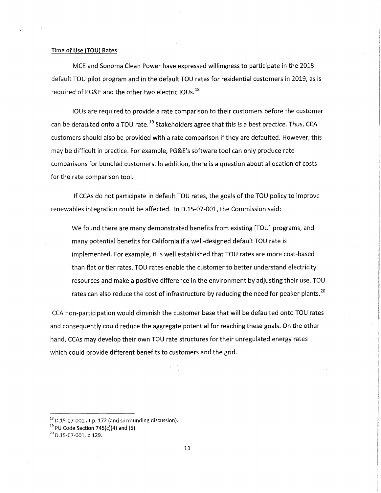#### Time of Use (TOU) Rates

MCE and Sonoma Clean Power have expressed willingness to participate in the 2018 default TOU pilot program and in the default TOU rates for residential customers in 2019, as is required of PG&E and the other two electric IOUs.<sup>18</sup>

lOUs are required to provide a rate comparison to their customers before the customer can be defaulted onto a TOU rate.<sup>19</sup> Stakeholders agree that this is a best practice. Thus, CCA customers should also be provided with a rate comparison if they are defaulted. However, this may be difficult in practice. For example, PG&E's software tool can only produce rate comparisons for bundled customers. In addition, there is a question about allocation of costs for the rate comparison tool.

If CCAs do not participate in default TOU rates, the goals of the TOU policy to improve renewables integration could be affected. In D.15-07-001, the Commission said:

We found there are many demonstrated benefits from existing [TOU] programs, and many potential benefits for California if a well-designed default TOU rate is implemented. For example, it is well established that TOU rates are more cost-based than flat or tier rates. TOU rates enable the customer to better understand electricity resources and make a positive difference in the environment by adjusting their use. TOU rates can also reduce the cost of infrastructure by reducing the need for peaker plants.<sup>20</sup>

CCA non-participation would diminish the customer base that will be defaulted onto TOU rates and consequently could reduce the aggregate potential for reaching these goals. On the other hand, CCAs may develop their own TOU rate structures for their unregulated energy rates which could provide different benefits to customers and the grid.

 $18$  D.15-07-001 at p. 172 (and surrounding discussion).

 $19$  PU Code Section 745(c)(4) and (5).

 $20$  D. 15-07-001, p 129.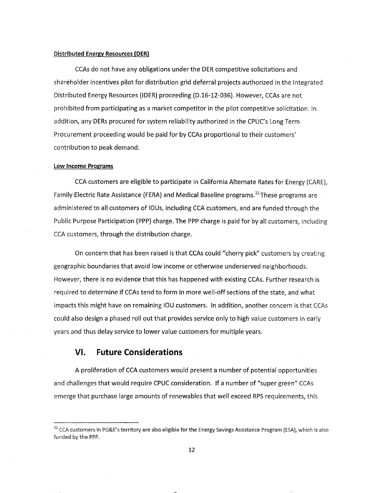#### **Distributed Energy Resources (PER)**

CCAs do not have any obligations under the DER competitive solicitations and shareholder incentives pilot for distribution grid deferral projects authorized in the Integrated Distributed Energy Resources (IDER) proceeding (D.16-12-036). However, CCAs are not prohibited from participating as a market competitor in the pilot competitive solicitation. In addition, any DERs procured for system reliability authorized in the CPUC's Long Term Procurement proceeding would be paid for by CCAs proportional to their customers' contribution to peak demand.

#### **Low Income Programs**

CCA customers are eligible to participate in California Alternate Rates for Energy (CARE), Family Electric Rate Assistance (FERA) and Medical Baseline programs.<sup>21</sup> These programs are administered to all customers of lOUs, including CCA customers, and are funded through the Public Purpose Participation (PPP) charge. The PPP charge is paid for by all customers, including CCA customers, through the distribution charge.

On concern that has been raised is that CCAs could "cherry pick" customers by creating geographic boundaries that avoid low income or otherwise underserved neighborhoods. However, there is no evidence that this has happened with existing CCAs. Further research is required to determine if CCAs tend to form in more well-off sections of the state, and what impacts this might have on remaining IOU customers. In addition, another concern is that CCAs could also design a phased roll out that provides service only to high value customers in early years and thus delay service to lower value customers for multiple years.

## **VI. Future Considerations**

A proliferation of CCA customers would present a number of potential opportunities and challenges that would require CPUC consideration. If a number of "super green" CCAs emerge that purchase large amounts of renewables that well exceed RPS requirements, this

<sup>&</sup>lt;sup>21</sup> CCA customers in PG&E's territory are also eligible for the Energy Savings Assistance Program (ESA), which is also funded by the PPP.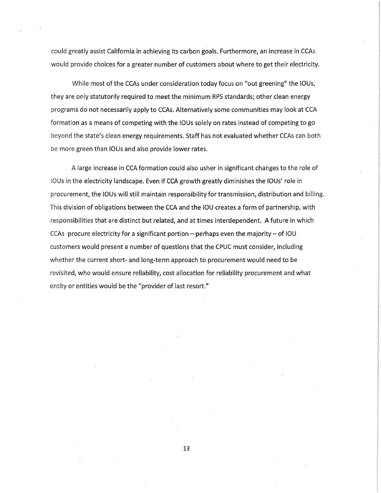could greatly assist California in achieving its carbon goals. Furthermore, an increase in CCAs would provide choices for a greater number of customers about where to get their electricity.

While most of the CCAs under consideration today focus on "out greening" the lOUs, they are only statutorily required to meet the minimum RPS standards; other clean energy programs do not necessarily apply to CCAs. Alternatively some communities may look at CCA formation as a means of competing with the lOUs solely on rates instead of competing to go beyond the state's clean energy requirements. Staff has not evaluated whether CCAs can both be more green than lOUs and also provide lower rates.

A large increase in CCA formation could also usher in significant changes to the role of lOUs in the electricity landscape. Even if CCA growth greatly diminishes the lOUs' role in procurement, the lOUs will still maintain responsibility for transmission, distribution and billing. This division of obligations between the CCA and the IOU creates a form of partnership, with responsibilities that are distinct but related, and at times interdependent. A future in which CCAs procure electricity for a significant portion  $-$  perhaps even the majority  $-$  of IOU customers would present a number of questions that the CPUC must consider, including whether the current short- and long-term approach to procurement would need to be revisited, who would ensure reliability, cost allocation for reliability procurement and what entity or entities would be the "provider of last resort."